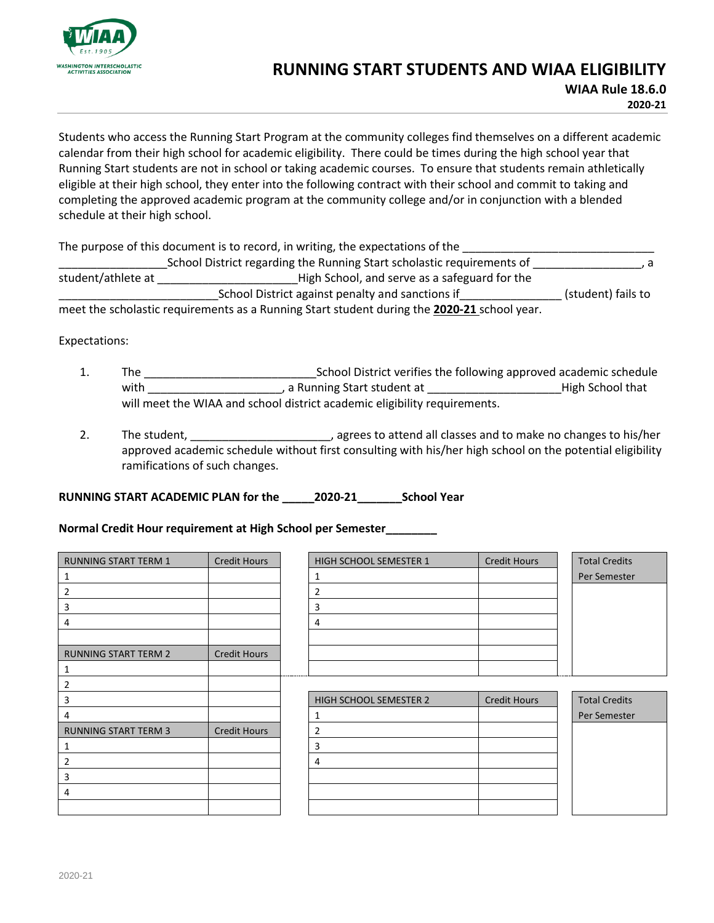

## **RUNNING START STUDENTS AND WIAA ELIGIBILITY**

**WIAA Rule 18.6.0 2020-21**

Students who access the Running Start Program at the community colleges find themselves on a different academic calendar from their high school for academic eligibility. There could be times during the high school year that Running Start students are not in school or taking academic courses. To ensure that students remain athletically eligible at their high school, they enter into the following contract with their school and commit to taking and completing the approved academic program at the community college and/or in conjunction with a blended schedule at their high school.

The purpose of this document is to record, in writing, the expectations of the

\_\_\_\_\_\_\_\_\_\_\_\_\_\_\_\_\_School District regarding the Running Start scholastic requirements of \_\_\_\_\_\_\_\_\_\_\_\_\_\_\_\_\_, a student/athlete at \_\_\_\_\_\_\_\_\_\_\_\_\_\_\_\_\_\_\_\_\_\_High School, and serve as a safeguard for the \_\_\_\_\_\_\_\_\_\_\_\_\_\_\_\_\_\_\_\_\_\_\_\_\_School District against penalty and sanctions if\_\_\_\_\_\_\_\_\_\_\_\_\_\_\_\_ (student) fails to meet the scholastic requirements as a Running Start student during the **2020-21** school year.

Expectations:

- 1. The \_\_\_\_\_\_\_\_\_\_\_\_\_\_\_\_\_\_\_\_\_\_\_\_\_\_\_School District verifies the following approved academic schedule with \_\_\_\_\_\_\_\_\_\_\_\_\_\_\_\_\_\_\_\_\_, a Running Start student at \_\_\_\_\_\_\_\_\_\_\_\_\_\_\_\_\_\_\_\_\_High School that will meet the WIAA and school district academic eligibility requirements.
- 2. The student, **Exercise 2.** The student, **Exercise 2.** The student, **Exercise 2.** The student, **Properties 2.** The student, **Properties 2.** The student, **Properties 2.** The student of the students and to make no changes approved academic schedule without first consulting with his/her high school on the potential eligibility ramifications of such changes.

**RUNNING START ACADEMIC PLAN for the \_\_\_\_\_2020-21\_\_\_\_\_\_\_School Year** 

**Normal Credit Hour requirement at High School per Semester\_\_\_\_\_\_\_\_** 

| <b>RUNNING START TERM 1</b> | <b>Credit Hours</b> | HIGH SCHOOL SEMESTER 1 | <b>Credit Hours</b> | <b>Total Credits</b> |
|-----------------------------|---------------------|------------------------|---------------------|----------------------|
| 1                           |                     | 1                      |                     | Per Semester         |
| 2                           |                     | $\overline{2}$         |                     |                      |
| 3                           |                     | 3                      |                     |                      |
| 4                           |                     | 4                      |                     |                      |
|                             |                     |                        |                     |                      |
| <b>RUNNING START TERM 2</b> | <b>Credit Hours</b> |                        |                     |                      |
| 1                           |                     |                        |                     |                      |
| 2                           |                     |                        |                     |                      |
| 3                           |                     | HIGH SCHOOL SEMESTER 2 | <b>Credit Hours</b> | <b>Total Credits</b> |
| 4                           |                     | $\mathbf{1}$           |                     | Per Semester         |
| <b>RUNNING START TERM 3</b> | <b>Credit Hours</b> | $\overline{2}$         |                     |                      |
| 1                           |                     | 3                      |                     |                      |
| 2                           |                     | 4                      |                     |                      |
| 3                           |                     |                        |                     |                      |
| 4                           |                     |                        |                     |                      |
|                             |                     |                        |                     |                      |